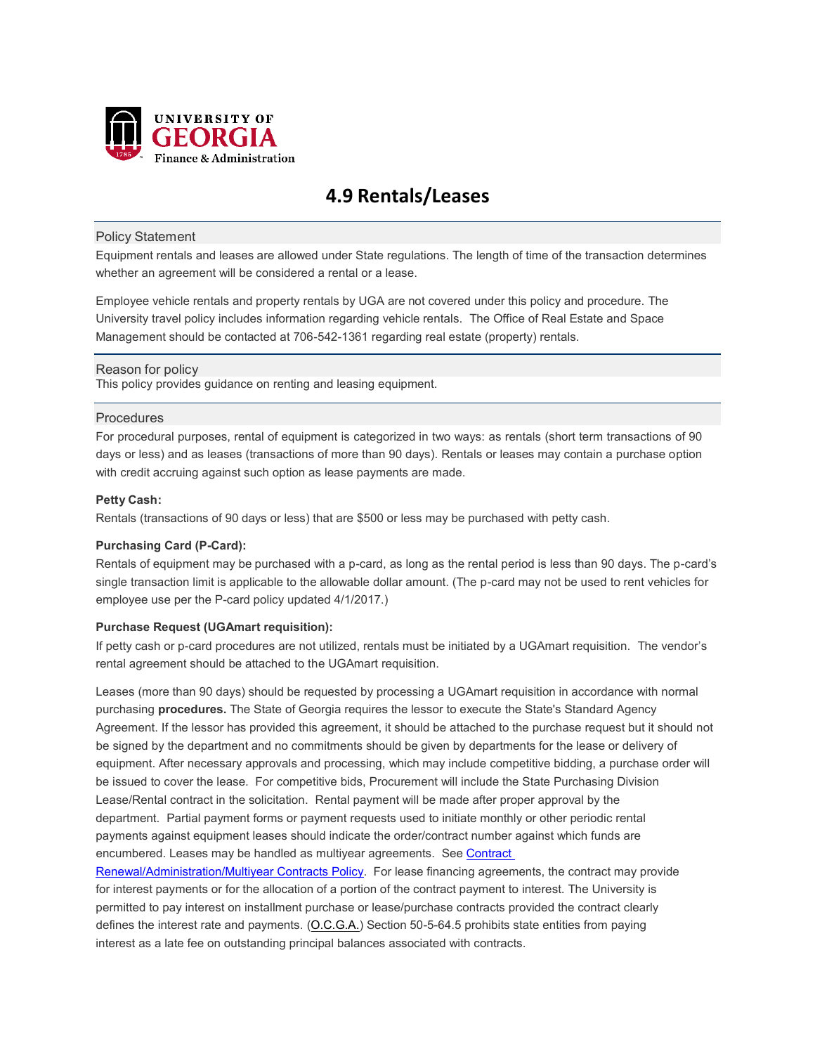

# **4.9 Rentals/Leases**

### Policy Statement

Equipment rentals and leases are allowed under State regulations. The length of time of the transaction determines whether an agreement will be considered a rental or a lease.

Employee vehicle rentals and property rentals by UGA are not covered under this policy and procedure. The University travel policy includes information regarding vehicle rentals. The Office of Real Estate and Space Management should be contacted at 706-542-1361 regarding real estate (property) rentals.

### Reason for policy

This policy provides guidance on renting and leasing equipment.

### **Procedures**

For procedural purposes, rental of equipment is categorized in two ways: as rentals (short term transactions of 90 days or less) and as leases (transactions of more than 90 days). Rentals or leases may contain a purchase option with credit accruing against such option as lease payments are made.

### **Petty Cash:**

Rentals (transactions of 90 days or less) that are \$500 or less may be purchased with petty cash.

# **Purchasing Card (P-Card):**

Rentals of equipment may be purchased with a p-card, as long as the rental period is less than 90 days. The p-card's single transaction limit is applicable to the allowable dollar amount. (The p-card may not be used to rent vehicles for employee use per the P-card policy updated 4/1/2017.)

# **Purchase Request (UGAmart requisition):**

If petty cash or p-card procedures are not utilized, rentals must be initiated by a UGAmart requisition. The vendor's rental agreement should be attached to the UGAmart requisition.

Leases (more than 90 days) should be requested by processing a UGAmart requisition in accordance with normal purchasing **procedures.** The State of Georgia requires the lessor to execute the State's Standard Agency Agreement. If the lessor has provided this agreement, it should be attached to the purchase request but it should not be signed by the department and no commitments should be given by departments for the lease or delivery of equipment. After necessary approvals and processing, which may include competitive bidding, a purchase order will be issued to cover the lease. For competitive bids, Procurement will include the State Purchasing Division Lease/Rental contract in the solicitation. Rental payment will be made after proper approval by the department. Partial payment forms or payment requests used to initiate monthly or other periodic rental payments against equipment leases should indicate the order/contract number against which funds are encumbered. Leases may be handled as multiyear agreements. See Contract

[Renewal/Administration/Multiyear Contracts Policy.](https://policies.uga.edu/Purchasing-and-Payment-Processing/Purchasing-and-Payment-Mechanisms/Purchase-Requests/Contract-Renewal-Administration-Multiyear-Contracts/) For lease financing agreements, the contract may provide for interest payments or for the allocation of a portion of the contract payment to interest. The University is permitted to pay interest on installment purchase or lease/purchase contracts provided the contract clearly defines the interest rate and payments. [\(O.C.G.A.\)](http://www.lexis-nexis.com/hottopics/gacode/Default.asp) Section 50-5-64.5 prohibits state entities from paying interest as a late fee on outstanding principal balances associated with contracts.